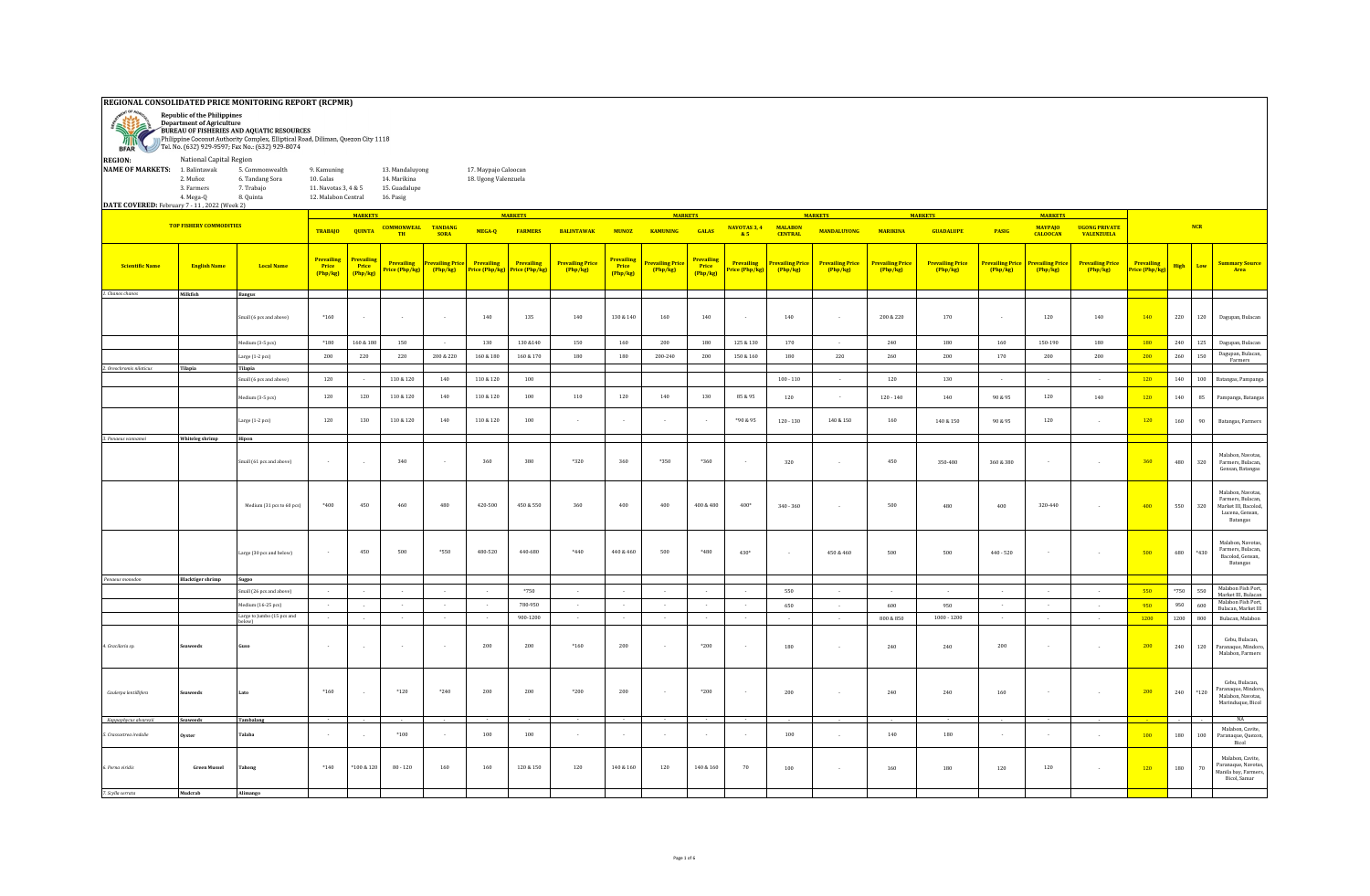## **REGIONAL CONSOLIDATED PRICE MONITORING REPORT (RCPMR)**

| <b>RANCH COMPANY</b>                                                                      | <b>Republic of the Philippines</b><br><b>Department of Agriculture</b>          | BUREAU OF FISHERIES AND AQUATIC RESOURCES<br>Philippine Coconut Authority Complex, Elliptical Road, Diliman, Quezon City 1118<br>BFAR Tel. No. (632) 929-9597; Fax No.: (632) 929-8074 |                                                                         |                                        |                                                               |                         |                                                                                   |                                  |                                   |                                 |                            |                                             |                              |                                   |                                      |                                   |                                     |                                   |                                  |                                     |                              |               |            |                                                                                              |
|-------------------------------------------------------------------------------------------|---------------------------------------------------------------------------------|----------------------------------------------------------------------------------------------------------------------------------------------------------------------------------------|-------------------------------------------------------------------------|----------------------------------------|---------------------------------------------------------------|-------------------------|-----------------------------------------------------------------------------------|----------------------------------|-----------------------------------|---------------------------------|----------------------------|---------------------------------------------|------------------------------|-----------------------------------|--------------------------------------|-----------------------------------|-------------------------------------|-----------------------------------|----------------------------------|-------------------------------------|------------------------------|---------------|------------|----------------------------------------------------------------------------------------------|
| <b>REGION:</b><br><b>NAME OF MARKETS:</b><br>DATE COVERED: February 7 - 11, 2022 (Week 2) | National Capital Region<br>1. Balintawak<br>2. Muñoz<br>3. Farmers<br>4. Mega-Q | 5. Commonwealth<br>6. Tandang Sora<br>7. Trabajo<br>8. Quinta                                                                                                                          | 9. Kamuning<br>10. Galas<br>11. Navotas 3, 4 & 5<br>12. Malabon Central |                                        | 13. Mandaluvong<br>14. Marikina<br>15. Guadalupe<br>16. Pasig |                         | 17. Maypajo Caloocan<br>18. Ugong Valenzuela                                      |                                  |                                   |                                 |                            |                                             |                              |                                   |                                      |                                   |                                     |                                   |                                  |                                     |                              |               |            |                                                                                              |
|                                                                                           | <b>TOP FISHERY COMMODITIES</b>                                                  |                                                                                                                                                                                        | <b>TRABAJO</b>                                                          | <b>MARKETS</b><br><b>QUINTA</b>        | <b>COMMONWEAL</b>                                             | <b>TANDANG</b>          | MEGA-Q                                                                            | <b>MARKETS</b><br><b>FARMERS</b> | <b>BALINTAWAK</b>                 | <b>MIINOZ</b>                   | <b>MARKETS</b><br>KAMUNING | <b>GALAS</b>                                | NAVOTAS 3, 4                 | <b>MALABON</b>                    | <b>MARKETS</b><br><b>MANDALUYONG</b> | <b>MARIKINA</b>                   | <b>MARKETS</b><br><b>GUADALUPE</b>  | PASIG                             | <b>MARKETS</b><br><b>MAYPAJO</b> | <b>UGONG PRIVATE</b>                |                              |               | <b>NCR</b> |                                                                                              |
|                                                                                           |                                                                                 |                                                                                                                                                                                        |                                                                         |                                        | TH                                                            | <b>SORA</b>             |                                                                                   |                                  |                                   |                                 |                            |                                             | & 5                          | <b>CENTRAL</b>                    |                                      |                                   |                                     |                                   | <b>CALOOCAN</b>                  | <b>VALENZUELA</b>                   |                              |               |            |                                                                                              |
| <b>Scientific Name</b>                                                                    | <b>English Name</b>                                                             | <b>Local Name</b>                                                                                                                                                                      | <b>Prevailing</b><br>Price<br>(Php/kg)                                  | <b>Prevailing</b><br>Price<br>(Php/kg) | Prevailing                                                    | <b>Prevailing Price</b> | <b>Prevailing</b><br><b>Price (Php/kg)</b> (Php/kg) Price (Php/kg) Price (Php/kg) | Prevailing                       | <b>Prevailing Price</b><br>Php/kg | Prevailing<br>Price<br>(Php/kg) | revailing Price<br>Php/kg  | <mark>Prevailin</mark><br>Price<br>(Php/kg) | Prevailing<br>Price (Php/kg) | <b>Prevailing Price</b><br>Php/kg | <b>Prevailing Price</b><br>Php/kg    | <b>Prevailing Price</b><br>Php/kg | <b>Prevailing Price</b><br>(Php/kg) | <b>Prevailing Price</b><br>Php/kg | Prevailing Price<br>Php/kg       | <b>Prevailing Price</b><br>(Php/kg) | Prevailing<br>Price (Php/kg) | High          | Low        | <b>Summary Source</b><br>Area                                                                |
| 1. Chanos chanos                                                                          | Milkfish                                                                        | <b>Bangus</b>                                                                                                                                                                          |                                                                         |                                        |                                                               |                         |                                                                                   |                                  |                                   |                                 |                            |                                             |                              |                                   |                                      |                                   |                                     |                                   |                                  |                                     |                              |               |            |                                                                                              |
|                                                                                           |                                                                                 | Small (6 pcs and above)                                                                                                                                                                | $*160$                                                                  | $\sim$                                 |                                                               | $\sim$                  | 140                                                                               | 135                              | 140                               | $130\,\&\,140$                  | 160                        | 140                                         | $\sim$                       | 140                               |                                      | 200 & 220                         | 170                                 | $\sim$                            | 120                              | 140                                 | 140                          | 220           | 120        | Dagupan, Bulacan                                                                             |
|                                                                                           |                                                                                 | dedium (3-5 pcs)                                                                                                                                                                       | $*180$                                                                  | 160 & 180                              | 150                                                           | $\sim$                  | 130                                                                               | 130 & 140                        | 150                               | 160                             | 200                        | 180                                         | 125 & 130                    | 170                               |                                      | 240                               | 180                                 | 160                               | 150-190                          | 180                                 | 180                          | 240           | 125        | Dagupan, Bulacan                                                                             |
|                                                                                           |                                                                                 | arge (1-2 pcs)                                                                                                                                                                         | 200                                                                     | $220\,$                                | 220                                                           | 200 & 220               | $160\ \&\ 180$                                                                    | $160\,\&\,170$                   | 180                               | 180                             | 200-240                    | 200                                         | 150 & 160                    | 180                               | 220                                  | $260\,$                           | $200\,$                             | 170                               | 200                              | $200\,$                             | 200                          | $260\,$       | 150        | Dagupan, Bulacan,<br>Farmers                                                                 |
| . Oreochromis niloticus                                                                   | Tilapia                                                                         | Tilapia<br>mall (6 pcs and above)                                                                                                                                                      | 120                                                                     | $\sim$                                 | 110 & 120                                                     | 140                     | 110 & 120                                                                         | 100                              |                                   |                                 |                            |                                             |                              | $100 - 110$                       | $\sim$                               | 120                               | 130                                 | $\sim$                            | $\sim 10$                        | $\sim 10^{-1}$                      | 120                          | 140           | 100        | Batangas, Pampanga                                                                           |
|                                                                                           |                                                                                 | Medium (3-5 pcs)                                                                                                                                                                       | 120                                                                     | 120                                    | 110 & 120                                                     | 140                     | 110 & 120                                                                         | 100                              | 110                               | 120                             | 140                        | 130                                         | 85 & 95                      | 120                               | $\sim$                               | $120 - 140$                       | 140                                 | 90 & 95                           | 120                              | 140                                 | 120                          | 140           | 85         | Pampanga, Batangas                                                                           |
|                                                                                           |                                                                                 | arge (1-2 pcs)                                                                                                                                                                         | 120                                                                     | 130                                    | 110 & 120                                                     | 140                     | 110 & 120                                                                         | 100                              | $\sim$                            |                                 | - 4                        | - 2                                         | +90 & 95                     | $120 - 130$                       | 140 & 150                            | 160                               | $140\ \&\ 150$                      | 90 & 95                           | 120                              | in 1999.                            | 120                          | 160           | 90         | Batangas, Farmers                                                                            |
| 3. Penaeus vannamei                                                                       | Whiteleg shrimp                                                                 | Hipon                                                                                                                                                                                  |                                                                         |                                        |                                                               |                         |                                                                                   |                                  |                                   |                                 |                            |                                             |                              |                                   |                                      |                                   |                                     |                                   |                                  |                                     |                              |               |            |                                                                                              |
|                                                                                           |                                                                                 | Small (61 pcs and above)                                                                                                                                                               |                                                                         | $\sim$                                 | 340                                                           | $\sim$                  | 360                                                                               | 380                              | $*320$                            | 360                             | *350                       | $*360$                                      |                              | 320                               | - 11                                 | 450                               | 350-480                             | 360 & 380                         | $\sim$                           | $\sim$                              | 360                          | 480           | 320        | Malabon, Navotas.<br>Farmers, Bulacan<br>Gensan, Batangas                                    |
|                                                                                           |                                                                                 | Medium (31 pcs to 60 pcs)                                                                                                                                                              | $*400$                                                                  | 450                                    | $460\,$                                                       | $480\,$                 | 420-500                                                                           | 450 & 550                        | 360                               | 400                             | $400\,$                    | 400 & 480                                   | $400*$                       | $340 - 360$                       | $\sim$                               | 500                               | 480                                 | 400                               | 320-440                          | $\sim$                              | 400                          | 550           | 320        | Malabon, Navotas,<br>Farmers, Bulacan<br>Market III, Bacolod,<br>Lucena, Gensan,<br>Batangas |
|                                                                                           |                                                                                 | Large (30 pcs and below)                                                                                                                                                               | $\sim$                                                                  | 450                                    | 500                                                           | *550                    | 480-520                                                                           | 440-680                          | $*440$                            | 440 & 460                       | 500                        | *480                                        | $430*$                       | $\sim$                            | 450 & 460                            | 500                               | 500                                 | $440 - 520$                       | $\sim$                           | $\sim$                              | 500                          | 680           | *430       | Malabon, Navotas,<br>Farmers, Bulacan,<br>Bacolod, Gensan,<br>Batangas                       |
| Penaeus monodon                                                                           | <b>Blacktiger shrimp</b>                                                        | Sugpo                                                                                                                                                                                  |                                                                         |                                        |                                                               |                         |                                                                                   |                                  |                                   |                                 |                            |                                             |                              |                                   |                                      |                                   |                                     |                                   |                                  |                                     |                              |               |            | Malabon Fish Port,                                                                           |
|                                                                                           |                                                                                 | Small (26 pcs and above)                                                                                                                                                               |                                                                         | $\sim$                                 |                                                               |                         | $\sim$                                                                            | $*750$<br>780-950                | $\cdot$                           |                                 |                            | $\ddot{\phantom{a}}$                        |                              | 550                               |                                      |                                   | 950                                 | $\cdot$                           | $\ddot{\phantom{a}}$             | $\sim$                              | 550                          | $*750$<br>950 | 550        | Market III, Bulacan<br>Malabon Fish Port,                                                    |
|                                                                                           |                                                                                 | $f$ edium $(16-25)$ pcs $)$<br>Large to Jumbo (15 pcs and                                                                                                                              | $\sim$<br>$\sim$                                                        | $\sim$<br>$\sim$                       | $\sim$<br>$\sim$                                              | $\sim$<br>$\sim$        | $\sim$<br>$\sim$                                                                  | 900-1200                         | $\sim$<br>$\sim$                  | $\sim$<br>$\sim$                | $\sim$<br>$\sim$           | $\sim$<br>$\sim$                            | $\sim$<br>$\sim$             | 650<br>$\sim$                     | $\sim$<br>$\sim$                     | 600<br>800 & 850                  | $1000 - 1200$                       | $\sim$<br>$\sim$                  | $\sim$<br>$\sim$                 | $\sim 10^{-1}$<br>$\sim$            | 950<br>1200                  | 1200          | 600<br>800 | Bulacan, Market III<br>Bulacan, Malabon                                                      |
| 4. Gracilaria sp.                                                                         | aweeds                                                                          | (wo                                                                                                                                                                                    | $\sim$                                                                  |                                        |                                                               |                         | 200                                                                               | 200                              | $*160$                            | 200                             |                            | $*200$                                      |                              | 180                               |                                      | 240                               | 240                                 | 200                               |                                  | $\sim$                              | 200                          | 240           | 120        | Cebu, Bulacan.<br>Paranaque, Mindoro,<br>Malabon, Farmers                                    |
| Caulerpa lentillifera                                                                     | aweeds                                                                          |                                                                                                                                                                                        | $*160$                                                                  | $\sim$                                 | $*120$                                                        | $*240$                  | 200                                                                               | 200                              | $*200$                            | 200                             | $\sim$                     | $*200$                                      | $\sim$                       | 200                               |                                      | 240                               | 240                                 | 160                               | $\sim$                           | $\sim$                              | 200                          | 240           | $*120$     | Cebu, Bulacan,<br>Paranaque, Mindoro<br>Malabon, Navotas<br>Marinduque, Bicol                |
| Kappaphycus alvarezii                                                                     | Seaweeds                                                                        | Tambalang                                                                                                                                                                              |                                                                         |                                        |                                                               |                         |                                                                                   |                                  |                                   |                                 |                            |                                             |                              |                                   |                                      |                                   |                                     |                                   |                                  |                                     |                              |               |            | NA                                                                                           |
| 5. Crassostrea iredalie                                                                   | Ovster                                                                          | Talaba                                                                                                                                                                                 | $\sim$                                                                  | $\sim$                                 | $*100$                                                        | $\sim$                  | 100                                                                               | 100                              | $\sim$                            |                                 | $\sim$                     | $\sim$                                      | $\sim$                       | 100                               | in a                                 | 140                               | 180                                 | $\sim$                            | $\sim$                           | $\sim$                              | 100                          | 180           | 100        | Malabon, Cavite,<br>Paranaque, Quezon,<br>Bicol                                              |
| 6. Perna viridis                                                                          | <b>Green Mussel</b>                                                             | Tahong                                                                                                                                                                                 | $*140$                                                                  | *100 & 120                             | $80 - 120$                                                    | $160\,$                 | 160                                                                               | 120 & 150                        | 120                               | $140\text{ }\&\text{ }160$      | 120                        | 140 & 160                                   | 70                           | 100                               | - 11                                 | 160                               | 180                                 | 120                               | 120                              | $\sim$                              | 120                          | 180           | 70         | Malabon, Cavite<br>Paranaque, Navotas,<br>Manila bay, Farmers,<br>Bicol, Samar               |
| 7. Scylla serrata                                                                         | Mudcrab                                                                         | Alimango                                                                                                                                                                               |                                                                         |                                        |                                                               |                         |                                                                                   |                                  |                                   |                                 |                            |                                             |                              |                                   |                                      |                                   |                                     |                                   |                                  |                                     |                              |               |            |                                                                                              |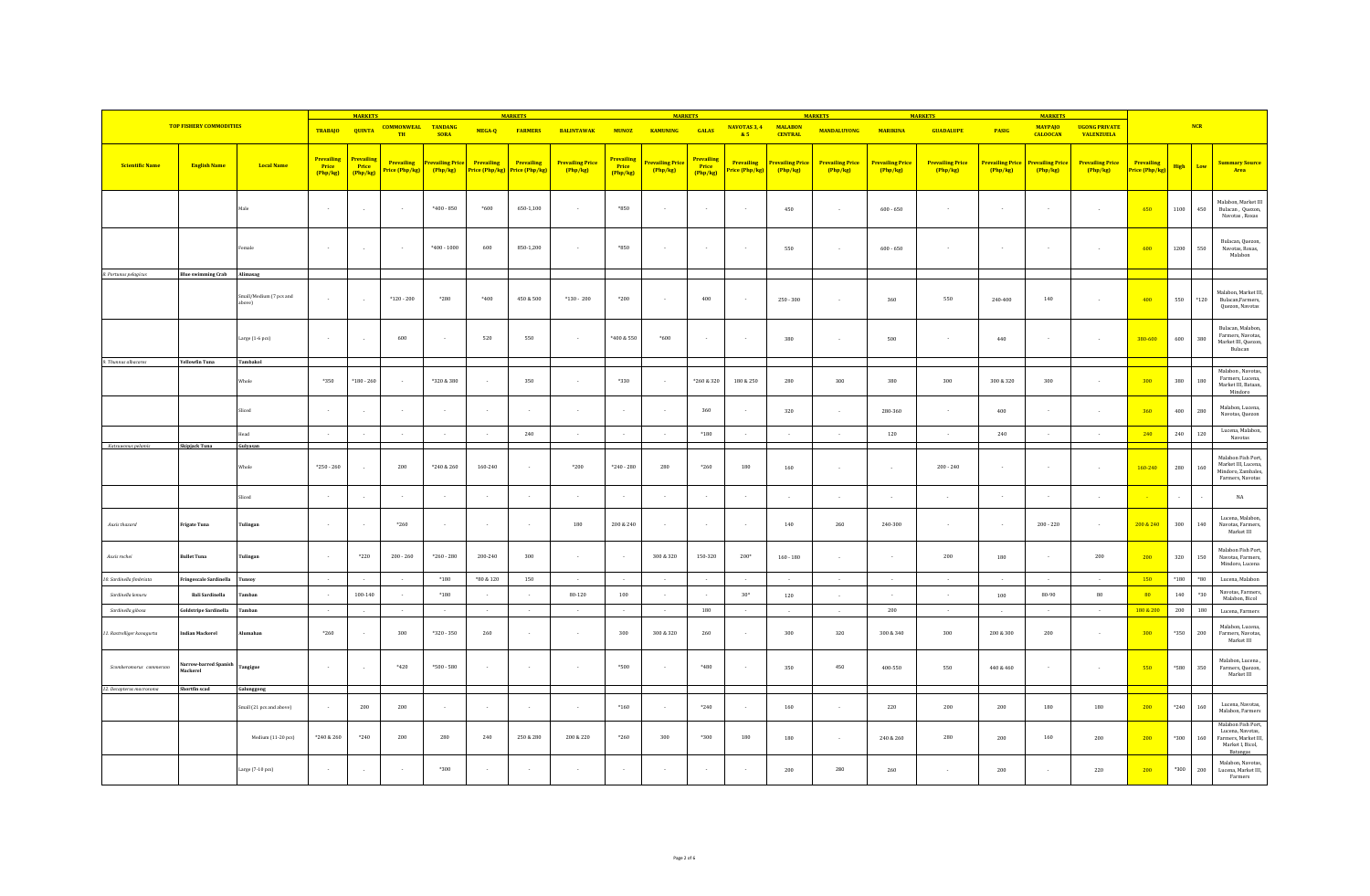|                           |                                   |                                   |                                      | <b>MARKETS</b>                       |                                        |                                           |                                     | <b>MARKETS</b>               |                                     |                                               | <b>MARKETS</b>               |                                        |                                     |                                   | <b>MARKETS</b>                    |                                   | <b>MARKETS</b>                    |                            | <b>MARKETS</b>                    |                                           |                                     |             |             |                                                                                                |
|---------------------------|-----------------------------------|-----------------------------------|--------------------------------------|--------------------------------------|----------------------------------------|-------------------------------------------|-------------------------------------|------------------------------|-------------------------------------|-----------------------------------------------|------------------------------|----------------------------------------|-------------------------------------|-----------------------------------|-----------------------------------|-----------------------------------|-----------------------------------|----------------------------|-----------------------------------|-------------------------------------------|-------------------------------------|-------------|-------------|------------------------------------------------------------------------------------------------|
|                           | <b>TOP FISHERY COMMODITIES</b>    |                                   | TRABAJO QUINTA                       |                                      | <b>COMMONWEAL TANDANG</b><br><b>TH</b> | <b>SORA</b>                               | MEGA-Q                              | <b>FARMERS</b>               | <b>BALINTAWAK</b>                   | <b>MUNOZ</b>                                  | <b>KAMUNING</b>              | GALAS                                  | NAVOTAS 3, 4<br>85                  | <b>MALABON</b><br><b>CENTRAL</b>  | <b>MANDALUYONG</b>                | <b>MARIKINA</b>                   | <b>GUADALUPE</b>                  | <b>PASIG</b>               | <b>MAYPAJO</b><br><b>CALOOCAN</b> | <b>UGONG PRIVATE</b><br><b>VALENZUELA</b> |                                     |             | NCR         |                                                                                                |
| <b>Scientific Name</b>    | <b>English Name</b>               | <b>Local Name</b>                 | <b>Prevailing</b><br>Price<br>Php/kg | Prevailing<br><b>Price</b><br>Php/kg | <b>Prevailing</b><br>Price (Php/kg)    | Prevailing Price <mark>l</mark><br>Php/kg | <b>Prevailing</b><br>Price (Php/kg) | Prevailing<br>Price (Php/kg) | <b>Prevailing Price</b><br>(Php/kg) | <b>Prevailing</b><br><b>Price</b><br>(Php/kg) | Prevailing Price<br>(Php/kg) | <b>Prevailing</b><br>Price<br>(Php/kg) | <b>Prevailing</b><br>Price (Php/kg) | <b>Prevailing Price</b><br>Php/kg | <b>Prevailing Price</b><br>Php/kg | <b>Prevailing Price</b><br>Php/kg | <b>Prevailing Price</b><br>Php/kg | Prevailing Price<br>Php/kg | <b>Prevailing Price</b><br>Php/kg | <b>Prevailing Price</b><br>Php/kg         | <b>Prevailing</b><br>Price (Php/kg) | <b>High</b> | Low         | <b>Summary Source</b><br>Area                                                                  |
|                           |                                   |                                   | $\sim$                               | $\sim$                               | $\sim$                                 | $*400 - 850$                              | $*600$                              | 650-1,100                    | $\sim$                              | *850                                          | $\sim$                       | $\sim$                                 | $\sim$                              | 450                               | $\sim$                            | $600 - 650$                       | $\sim$                            |                            | $\sim$                            | $\sim$                                    | 650                                 | 1100        | 450         | Malabon, Market III<br>Bulacan, Quezon,<br>Navotas, Roxas                                      |
|                           |                                   |                                   | $\sim$                               | $\sim$                               | $\sim$                                 | $*400 - 1000$                             | 600                                 | 850-1.200                    | $\sim$                              | *850                                          | $\sim$                       | $\sim$                                 | $\sim$                              | 550                               | $\sim$                            | $600 - 650$                       | i al                              |                            |                                   | $\sim$                                    | 600                                 | 1200        | 550         | Bulacan, Quezon,<br>Navotas, Roxas,<br>Malabon                                                 |
| 8. Portunus pelagicus     | <b>Blue swimming Crab</b>         | Alimasag                          |                                      |                                      |                                        |                                           |                                     |                              |                                     |                                               |                              |                                        |                                     |                                   |                                   |                                   |                                   |                            |                                   |                                           |                                     |             |             |                                                                                                |
|                           |                                   | Small/Medium (7 pcs and<br>above) | $\sim$                               | $\sim$                               | $*120 - 200$                           | $*280$                                    | $*400$                              | 450 & 500                    | $*130 - 200$                        | $*200$                                        | $\sim$                       | 400                                    | $\sim$                              | $250 - 300$                       | $\sim$                            | 360                               | 550                               | 240-400                    | 140                               | $\sim$                                    | 400                                 | 550         | $*120$      | Malabon, Market III<br>Bulacan, Farmers,<br>Quezon, Navotas                                    |
|                           |                                   | Large (1-6 pcs)                   | $\sim$                               |                                      | 600                                    | $\sim$                                    | 520                                 | 550                          | $\sim$                              | *400 & 550                                    | $*600$                       | - 1                                    | - 1                                 | 380                               |                                   | 500                               | i.                                | $440\,$                    |                                   | $\sim$                                    | 380-600                             | 600         | 380         | Bulacan, Malabon<br>Farmers, Navotas,<br>Market III, Quezon,<br>Bulacan                        |
| 9. Thunnus albacares      | <b>Yellowfin Tuna</b>             | Tambakol                          |                                      |                                      |                                        |                                           |                                     |                              |                                     |                                               |                              |                                        |                                     |                                   |                                   |                                   |                                   |                            |                                   |                                           |                                     |             |             | Malabon, Navotas                                                                               |
|                           |                                   | Whole                             | *350                                 | $*180 - 260$                         | $\sim$                                 | *320 & 380                                |                                     | 350                          | $\sim$                              | *330                                          | $\sim$                       | $*260 & 320$                           | 180 & 250                           | $\boldsymbol{280}$                | 300                               | 380                               | $300\,$                           | 300 & 320                  | 300                               | $\sim$                                    | 300                                 | 380         | 180         | Farmers, Lucena,<br>Market III, Bataan,<br>Mindoro                                             |
|                           |                                   |                                   | $\sim$                               |                                      | $\sim$                                 | $\sim$                                    |                                     | $\sim$                       | $\sim$                              | $\sim$                                        | $\sim$                       | 360                                    |                                     | 320                               | $\sim$                            | 280-360                           | $\sim$                            | 400                        |                                   | $\sim$                                    | 360                                 | 400         | 280         | Malabon, Lucena,<br>Navotas, Quezon                                                            |
|                           |                                   |                                   | $\sim$                               | $\sim$                               |                                        | $\sim$                                    |                                     | 240                          | $\sim$                              | $\sim$                                        | $\sim$                       | $*180$                                 | $\sim$                              | $\sim$                            | $\sim$                            | 120                               | $\sim$                            | 240                        | $\sim$                            | $\sim$                                    | 240                                 | 240         | 120         | Lucena, Malabon,                                                                               |
| Katsuwonus pelamis        | Skipjack Tuna                     | Gulyasan                          |                                      |                                      |                                        |                                           |                                     |                              |                                     |                                               |                              |                                        |                                     |                                   |                                   |                                   |                                   |                            |                                   |                                           |                                     |             |             | Navotas                                                                                        |
|                           |                                   | Whole                             | $*250 - 260$                         |                                      | $200\,$                                | $*240 & 260$                              | $160 - 240$                         |                              | $^{\ast}200$                        | $*240 - 280$                                  | $\,280$                      | $*260$                                 | 180                                 | 160                               |                                   | $\sim$                            | $200 - 240$                       |                            |                                   | $\sim$                                    | 160-240                             | 280         | 160         | Malabon Fish Port,<br>Market III, Lucena<br>Mindoro, Zambales,<br>Farmers, Navotas             |
|                           |                                   |                                   |                                      | $\overline{\phantom{a}}$             |                                        | $\sim$                                    |                                     |                              |                                     |                                               |                              |                                        |                                     | $\sim$                            |                                   |                                   |                                   |                            |                                   | $\sim$                                    |                                     | $\sim$      |             | $_{\rm NA}$                                                                                    |
| Auxis thazard             | <b>Frigate Tuna</b>               | Tulingan                          | $\sim$                               | $\sim$                               | $*260$                                 | $\sim$                                    |                                     | $\sim$                       | 180                                 | 200 & 240                                     | $\sim$                       |                                        | $\sim$                              | 140                               | 260                               | 240-300                           | $\sim$                            | $\sim$                     | $200 - 220$                       | $\sim$                                    | 200 & 240                           | 300         | 140         | Lucena, Malabon<br>Navotas, Farmers.<br>Market III                                             |
| Auxis rochei              | <b>Bullet Tuna</b>                | Tulingan                          | $\sim$                               | $*220$                               | $200 - 260$                            | $*260 - 280$                              | 200-240                             | 300                          | $\sim$                              | $\sim$                                        | 300 & 320                    | 150-320                                | 200*                                | $160 - 180$                       | $\sim$                            | $\sim$                            | 200                               | 180                        | $\sim$                            | 200                                       | 200                                 | 320         | $150\,$     | Malabon Fish Port<br>Navotas, Farmers,<br>Mindoro, Lucena                                      |
| 10. Sardinella fimbriata  | Fringescale Sardinella            | Tunsoy                            | $\sim 100$                           |                                      | $\sim$                                 | $*180$                                    | *80 & 120                           | 150                          | $\sim$                              | $\sim$                                        | $\sim$                       | $\sim$                                 | $\sim$                              | $\sim$                            | $\sim$                            | $\sim$                            | $\sim$ $\sim$                     | $\sim$                     | $\sim$                            | $\sim$                                    | 150                                 | $*180$      | $^{\ast}80$ | Lucena, Malabon                                                                                |
| Sardinella lemuru         | <b>Bali Sardinella</b>            | <b>Tambar</b>                     | $\sim$                               | $100 - 140$                          | $\sim$                                 | $^{\ast}180$                              |                                     | $\sim$                       | 80-120                              | 100                                           | $\sim$                       | $\sim$                                 | $30*$                               | 120                               |                                   | $\sim$                            | $\sim$                            | 100                        | $80 - 90$                         | $_{\rm 80}$                               | 80 <sub>1</sub>                     | $140\,$     | $*30$       | Navotas, Farmers,<br>Malabon, Bicol                                                            |
| Sardinella gibosa         | <b>Goldstripe Sardinella</b>      | Tamban                            | $\sim$                               | $\sim$                               | $\sim$                                 | $\sim$                                    | $\sim$                              | $\sim$                       | $\sim$                              | $\sim$                                        | $\sim$                       | 180                                    | $\sim$                              | $\sim$                            | $\sim$                            | 200                               | $\sim$                            | $\sim$                     | $\sim$                            | $\sim$                                    | 180 & 200                           | 200         | 180         | Lucena, Farmers                                                                                |
| 1. Rastrelliger kanagurta | <b>Indian Mackerel</b>            | lumahan                           | $*260$                               |                                      | 300                                    | $*320 - 350$                              | 260                                 | $\sim$                       | $\sim$                              | 300                                           | 300 & 320                    | 260                                    |                                     | 300                               | 320                               | 300 & 340                         | 300                               | 200 & 300                  | 200                               | $\sim$                                    | 300                                 | $*350$      | 200         | Malabon, Lucena,<br>Farmers, Navotas,<br>Market III                                            |
| Scomberomorus commersor   | Narrow-barred Spanish<br>Mackerel | Tangigue                          | $\sim$ $\sim$                        |                                      | $*420$                                 | $*500 - 580$                              |                                     | $\sim$                       | $\sim$                              | *500                                          | $\sim$                       | *480                                   | $\sim$                              | 350                               | 450                               | 400-550                           | 550                               | 440 & 460                  |                                   | $\sim$                                    | 550                                 | $*580$      | $350\,$     | Malabon, Lucena,<br>Farmers, Quezon,<br>Market III                                             |
| 12. Decapterus macrosoma  | Shortfin scad                     | Galunggong                        |                                      |                                      |                                        |                                           |                                     |                              |                                     |                                               |                              |                                        |                                     |                                   |                                   |                                   |                                   |                            |                                   |                                           |                                     |             |             |                                                                                                |
|                           |                                   | Small (21 pcs and above)          | $\sim$                               | 200                                  | 200                                    | $\sim$                                    |                                     | . .                          | $\sim$                              | $*160$                                        | $\sim$                       | $*240$                                 |                                     | 160                               | $\sim$                            | 220                               | 200                               | 200                        | 180                               | $180\,$                                   | 200                                 | $*240$      | 160         | Lucena, Navotas,<br>Malabon, Farmers                                                           |
|                           |                                   | Medium (11-20 pcs)                | *240 & 260                           | $*240$                               | 200                                    | 280                                       | 240                                 | 250 & 280                    | 200 & 220                           | $*260$                                        | 300                          | $*300$                                 | 180                                 | 180                               |                                   | 240 & 260                         | 280                               | 200                        | 160                               | 200                                       | 200                                 | $*300$      | $160\,$     | Malabon Fish Port,<br>Lucena, Navotas,<br>Farmers, Market III,<br>Market I, Bicol,<br>Batangas |
|                           |                                   | Large (7-10 pcs)                  |                                      |                                      |                                        | *300                                      |                                     |                              |                                     |                                               |                              |                                        |                                     | 200                               | 280                               | 260                               |                                   | 200                        |                                   | 220                                       | 200                                 | $*300$      | $200\,$     | Malabon, Navotas,<br>Lucena, Market III,<br>Farmers                                            |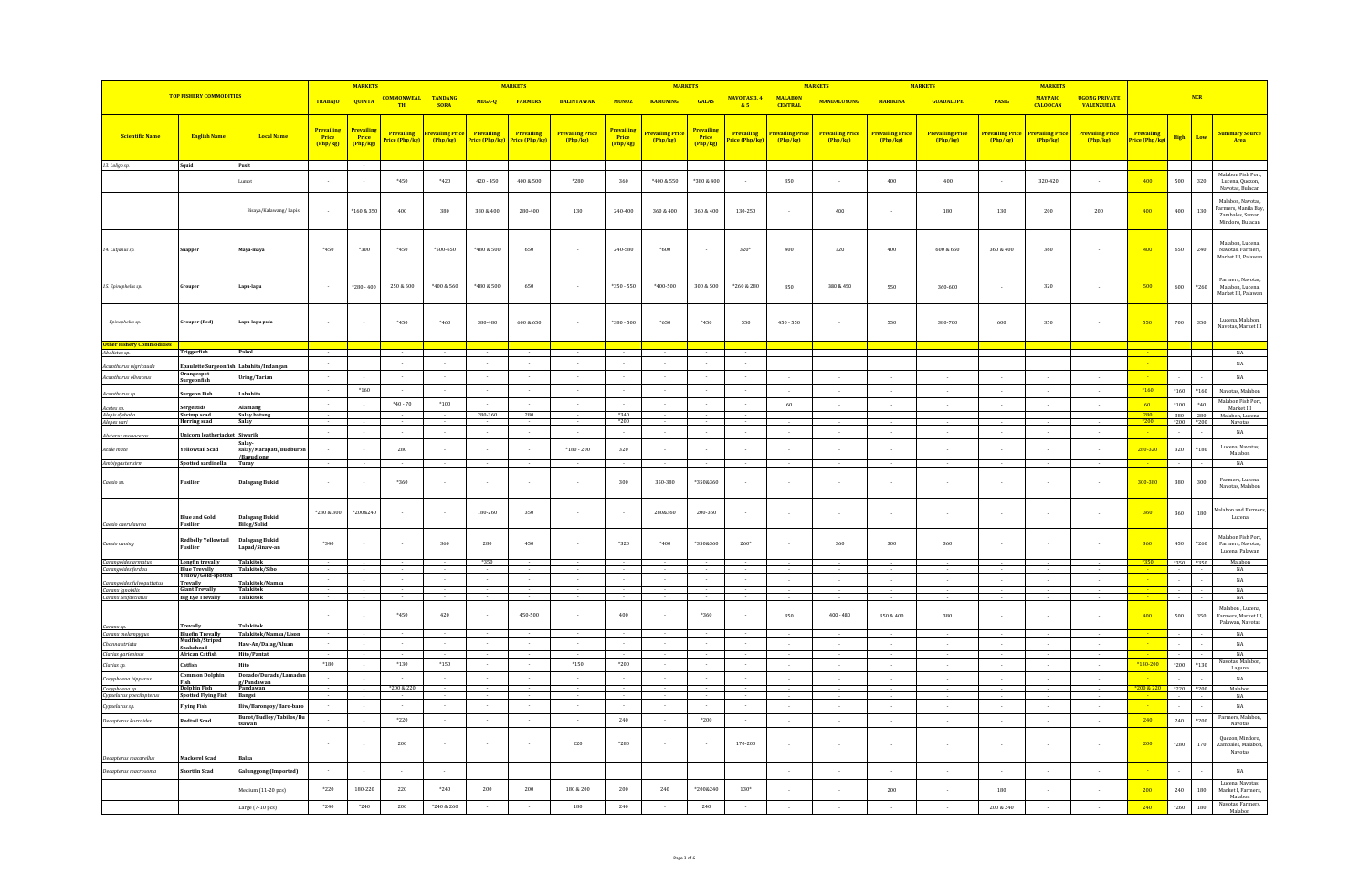|                                               |                                            |                                      |                                 | <b>MARKETS</b>                  |                              |                                        |                                           | <b>MARKETS</b>              |                                   |                                        | <b>MARKETS</b>                         |                                        |                            |                                         | <b>MARKETS</b>                            |                                         | <b>MARKETS</b>                    |                                        | <b>MARKETS</b>                        |                                            |                              |               |              |                                                                                  |
|-----------------------------------------------|--------------------------------------------|--------------------------------------|---------------------------------|---------------------------------|------------------------------|----------------------------------------|-------------------------------------------|-----------------------------|-----------------------------------|----------------------------------------|----------------------------------------|----------------------------------------|----------------------------|-----------------------------------------|-------------------------------------------|-----------------------------------------|-----------------------------------|----------------------------------------|---------------------------------------|--------------------------------------------|------------------------------|---------------|--------------|----------------------------------------------------------------------------------|
|                                               | <b>TOP FISHERY COMMODITIES</b>             |                                      | <b>TRABAJO</b>                  | <b>QUINTA</b>                   | <b>COMMONWEAL</b><br>TH      | <b>TANDANG</b><br><b>SORA</b>          | MEGA-Q                                    | <b>FARMERS</b>              | <b>BALINTAWAK</b>                 | <b>MUNOZ</b>                           | <b>KAMUNING</b>                        | GALAS                                  | NAVOTAS 3, 4<br>85         | <b>MALARON</b><br><b>CENTRAL</b>        | <b>MANDALUYONG</b>                        | <b>MARIKINA</b>                         | <b>GUADALUPE</b>                  | PASIG                                  | <b>MAYPAIO</b><br><b>CALOOCAN</b>     | <b>IIGONG PRIVATE</b><br><b>VALENZUELA</b> |                              |               | NCR          |                                                                                  |
| <b>Scientific Name</b>                        | <b>English Name</b>                        | <b>Local Name</b>                    | Prevailing<br>Price<br>(Php/kg) | Prevailing<br>Price<br>(Php/kg) | Prevailing<br>Price (Php/kg) | <mark>evailing Pric</mark><br>(Php/kg) | Prevailing<br><mark>Price (Php/kg)</mark> | Prevailing<br>rice (Php/kg) | <b>Prevailing Price</b><br>Php/kg | <b>Prevailing</b><br>Price<br>[Php/kg] | <mark>'revailing Pric</mark><br>Php/kg | <b>Prevailing</b><br>Price<br>[Php/kg] | Prevailing<br>rice (Php/kg | <mark>revailing Pric</mark><br>(Php/kg) | <mark>Prevailing Price</mark><br>(Php/kg) | <mark>Prevailing Price</mark><br>Php/kg | <b>Prevailing Price</b><br>Php/kg | r <mark>evailing Pric</mark><br>Php/kg | <mark>revailing Pric</mark><br>Php/kg | <b>Prevailing Price</b><br>Php/kg          | Prevailing<br>Price (Php/kg) | High          | Low          | <mark>Summary Sourc</mark><br>Area                                               |
| 13. Loligo sp.                                | Squid                                      | Pusit                                |                                 |                                 |                              |                                        |                                           |                             |                                   |                                        |                                        |                                        |                            |                                         |                                           |                                         |                                   |                                        |                                       |                                            |                              |               |              |                                                                                  |
|                                               |                                            | mot                                  | $\sim$                          |                                 | $*450$                       | $*420$                                 | $420 - 450$                               | $400\,\&\,500$              | $*280$                            | 360                                    | *400 & 550                             | *380 & 400                             |                            | 350                                     |                                           | 400                                     | 400                               |                                        | 320-420                               | $\sim$                                     | 400                          | 500           | 320          | Malabon Fish Port,<br>Lucena, Quezon,<br>Navotas, Bulacan                        |
|                                               |                                            | Bisaya/Kalawang/Lapis                | $\sim$                          | *160 & 350                      | 400                          | 380                                    | 380 & 400                                 | 280-400                     | 130                               | 240-400                                | 360 & 400                              | 360 & 400                              | 130-250                    | $\sim$                                  | 400                                       |                                         | 180                               | 130                                    | 200                                   | 200                                        | 400                          | 400           | $130\,$      | Malabon, Navotas<br>Farmers, Manila Bay,<br>Zambales, Samar,<br>Mindoro, Bulacan |
| 14. Lutjanus sp.                              |                                            | Maya-maya                            | *450                            | $*300$                          | $*450$                       | *500-650                               | *480 & 500                                | 650                         |                                   | 240-580                                | $*600$                                 |                                        | $320*$                     | 400                                     | 320                                       | 400                                     | 600 & 650                         | 360 & 400                              | 360                                   | $\sim$                                     | 400                          | 650           | 240          | Malabon, Lucena.<br>Navotas, Farmers<br>Market III, Palawan                      |
| 15. Epinephelus sp.                           | oupe:                                      | Lapu-lapu                            | $\sim$                          | $*280 - 400$                    | 250 & 500                    | $*400$ & 560                           | *480 & 500                                | 650                         |                                   | $*350 - 550$                           | $*400 - 500$                           | 300 & 500                              | $^*260\ \&\ 280$           | 350                                     | 380 & 450                                 | 550                                     | 360-600                           |                                        | $320\,$                               | $\sim$                                     | 500                          | 600           | $*260$       | Farmers, Navotas,<br>Malabon, Lucena.<br>Market III, Palawan                     |
| Epinephelus sp.                               | irouper (Red)                              | apu-lapu pula                        |                                 |                                 | $*450$                       | $^{\ast}460$                           | 380-480                                   | $600\,\&\,650$              |                                   | $*380 - 500$                           | $^*\!\!650$                            | $*450$                                 | 550                        | $450 - 550$                             |                                           | 550                                     | 380-700                           | 600                                    | 350                                   |                                            | 550                          | $700\,$       | 350          | Lucena, Malabon<br>Navotas, Market III                                           |
| ther Fishery (<br>balistes sp                 | Triggerfish                                | Pakol                                |                                 |                                 |                              |                                        |                                           |                             |                                   |                                        |                                        |                                        |                            |                                         |                                           |                                         |                                   |                                        |                                       |                                            |                              |               |              | NA                                                                               |
| Acanthurus nigricauda                         | paulette Surge                             | abahita/Indanga                      | $\sim$                          |                                 | $\sim$                       | $\sim$                                 | $\sim$                                    | $\sim$                      | $\sim$                            |                                        | $\sim$                                 | $\sim$                                 | $\sim$                     | $\sim$                                  |                                           | $\sim$                                  | $\sim$                            | - 2                                    | $\sim$                                |                                            |                              |               |              | $_{\rm NA}$                                                                      |
| Acanthurus olivaceus                          | Orangespot                                 | ring/Tarian                          | $\sim$                          |                                 |                              | $\sim$                                 |                                           |                             |                                   |                                        | $\sim$                                 |                                        |                            | $\sim$                                  |                                           |                                         |                                   |                                        |                                       | $\sim$                                     |                              |               |              | $_{\rm NA}$                                                                      |
|                                               | Surgeonfish                                | ahahita                              | $\sim$                          | $*160$                          | $\sim$                       | $\sim$                                 |                                           |                             | $\cdot$                           |                                        | $\sim$                                 | $\sim$                                 |                            | $\sim$                                  |                                           | $\sim$                                  |                                   | $\sim$                                 | $\sim$                                | $\sim$                                     | $*160$                       | $^{\ast}160$  | $*160$       | Navotas, Malabon                                                                 |
| Acanthurus sp.                                | urgeon Fish                                |                                      | $\sim$                          |                                 | $^{\ast}40$ - $70$           | $^{\ast100}$                           |                                           |                             |                                   |                                        | $\sim$                                 |                                        |                            | 60                                      |                                           |                                         |                                   |                                        |                                       | $\sim$                                     | 60                           | $*100$        | $^{\ast 40}$ | Malabon Fish Port                                                                |
| Acetes sp.<br>Alepis djebaba                  | ergestids<br>Shrimp scad                   | ilamang<br><b>Salay batang</b>       |                                 |                                 |                              |                                        | 280-360                                   | 280                         |                                   | *340                                   |                                        |                                        |                            |                                         |                                           |                                         |                                   |                                        |                                       |                                            | 280                          | 380 280       |              | Market III<br>Malabon, Lucena                                                    |
| Alepes vari                                   | <b>Herring scad</b>                        | Salay                                | $\sim$                          |                                 | $\sim$                       |                                        |                                           |                             |                                   | $*200$                                 |                                        |                                        |                            |                                         |                                           |                                         |                                   |                                        |                                       |                                            | $*200$                       | $*200$ $*200$ |              | Navotas                                                                          |
| Aluterus monocero.                            | Jnicorn leatherjacket Siwarik              | alay-                                |                                 |                                 |                              | $\sim$                                 |                                           |                             |                                   |                                        | $\sim$                                 |                                        |                            | $\sim$                                  |                                           |                                         |                                   |                                        |                                       |                                            |                              | $\sim$        |              | NA                                                                               |
| Atule mate                                    | Yellowtail Scad                            | salay/Marapati/Budburon<br>Bagudlong | $\sim$                          |                                 | 280                          | $\sim$                                 |                                           |                             | $*180 - 200$                      | 320                                    | $\sim$                                 |                                        |                            |                                         |                                           |                                         |                                   |                                        |                                       | $\sim$                                     | 280-320                      | $320\,$       | $*180$       | Lucena, Navotas,<br>Malabon                                                      |
| Ambiygaster sirm                              | Spotted sardinella                         | Turay                                |                                 |                                 |                              |                                        |                                           |                             |                                   |                                        |                                        |                                        |                            |                                         |                                           |                                         |                                   |                                        |                                       |                                            |                              |               |              | NA                                                                               |
| Caesio sp.                                    | Fusilier                                   | alagang Bukid                        |                                 |                                 | *360                         |                                        |                                           |                             |                                   | 300                                    | 350-380                                | *350&360                               |                            |                                         |                                           |                                         |                                   |                                        |                                       |                                            | 300-380                      | 380           | $300\,$      | Farmers, Lucena<br>Navotas, Malabon                                              |
| Caesio caerulaurea                            | <b>Blue and Gold</b><br><b>Fusilier</b>    | alagang Bukid<br><b>Bilog/Sulid</b>  | *280 & 300                      | *200&240                        |                              |                                        | 180-260                                   | 350                         |                                   |                                        | 280&360                                | 200-360                                |                            | $\sim$                                  |                                           |                                         |                                   |                                        |                                       | $\sim$                                     | 360                          | 360           | 180          | alabon and Farmer<br>Lucena                                                      |
| aesio cuning                                  | <b>Redbelly Yellowtail</b><br>Fusilier     | alagang Bukid<br>Lapad/Sinaw-an      | $*340$                          |                                 |                              | 360                                    | 280                                       | 450                         |                                   | *320                                   | *400                                   | *3508360                               | $260*$                     |                                         | 360                                       | 300                                     | 360                               |                                        |                                       |                                            | 360                          | 450           | $*260$       | Malabon Fish Port,<br>Farmers, Navotas,<br>Lucena, Palawan                       |
| Carangoides armatus<br>Carangoides ferdau     | <b>Longfin trevally</b><br>Blue Trevally   | <b>Talakitok</b><br>Talakitok/Sibc   |                                 |                                 |                              |                                        | *350                                      |                             |                                   |                                        |                                        |                                        |                            |                                         |                                           |                                         |                                   |                                        |                                       |                                            | $*350$                       | $*350$        | *350         | Malabon<br>NA                                                                    |
| Carangoides fulvoguttati                      | 'ellow/Gold-spo<br>Trevally                | alakitok/Mamsa                       | $\sim$                          |                                 | $\overline{\phantom{a}}$     | $\sim$                                 |                                           |                             |                                   |                                        | $\sim$                                 |                                        | $\sim$                     | i.                                      |                                           |                                         |                                   |                                        |                                       |                                            |                              |               |              | NA                                                                               |
| Caranx ignobilis                              | <b>Giant Trevally</b>                      | Talakitok<br><b>Talakitok</b>        |                                 |                                 |                              |                                        |                                           |                             |                                   |                                        |                                        |                                        |                            |                                         |                                           |                                         |                                   |                                        |                                       |                                            |                              |               |              | NA<br>NA                                                                         |
| Caranx sexfasciatus                           | <b>Big Eye Trevally</b>                    |                                      |                                 |                                 |                              |                                        |                                           |                             |                                   |                                        |                                        |                                        |                            |                                         |                                           |                                         |                                   |                                        |                                       |                                            |                              |               |              | Malabon . Lucena.                                                                |
|                                               |                                            |                                      |                                 |                                 | *450                         | 420                                    |                                           | 450-500                     |                                   | 400                                    |                                        | *360                                   |                            | 350                                     | $400 - 480$                               | $350\,\&\,400$                          | 380                               |                                        |                                       |                                            | 400                          | 500           | 350          | Farmers, Market III,<br>Palawan, Navotas                                         |
| Caranx sp.<br>Caranx melampygu                | <b>Trevally</b><br><b>Bluefin Trevally</b> | Talakitok<br>Talakitok/Mamsa/Lison   |                                 |                                 |                              |                                        |                                           |                             |                                   |                                        |                                        |                                        |                            |                                         |                                           |                                         |                                   |                                        |                                       |                                            |                              |               |              | NA                                                                               |
| Channa striata                                | Mudfish/Striped<br>Snakehead               | Haw-An/Dalag/Aluan                   |                                 |                                 | $\sim$                       | $\sim$                                 |                                           |                             | $\sim$                            |                                        | $\sim$                                 |                                        |                            | $\sim$                                  | $\sim$                                    | s.                                      | $\sim$                            | ÷.                                     |                                       | in 1919.                                   |                              |               |              | NA                                                                               |
| Clarias gariepinus                            | <b>African Catfish</b>                     | <b>Hito/Pantat</b>                   |                                 |                                 |                              |                                        |                                           |                             |                                   |                                        |                                        |                                        |                            |                                         |                                           |                                         |                                   |                                        |                                       |                                            |                              |               |              | NA<br>Navotas, Malabon                                                           |
| Clarias sp.                                   | Catfish<br>Common Dolphin                  | Oorado/Duradu/Lamadai                | $*180$                          |                                 | $*130$                       | $*150$                                 |                                           |                             | $*150$                            | $*200$                                 |                                        |                                        |                            | $\sim$                                  |                                           |                                         |                                   |                                        |                                       |                                            | *130-200                     | $*200$        | *130         | Laguna                                                                           |
| Coryphaena hippurus                           | <b>Dolphin Fish</b>                        | /Pandawan<br>ndawar                  |                                 |                                 | *200 & 220                   | $\sim$                                 | $\sim$                                    |                             | $\sim$                            |                                        | $\sim$                                 | $\overline{\phantom{a}}$               | $\sim$                     | $\sim$                                  |                                           | s.                                      | $\sim$                            | - 1                                    |                                       | in 1919.                                   |                              | $*220$        | $*200$       | NA<br>Malabon                                                                    |
| Coryphaena sp.<br>Cypselurus poecilopter      | <b>Spotted Flying Fish</b>                 | <b>Bangsi</b>                        |                                 |                                 |                              |                                        |                                           |                             |                                   |                                        |                                        |                                        |                            |                                         |                                           |                                         |                                   |                                        |                                       |                                            |                              |               |              | $_{\rm NA}$                                                                      |
| Cypselurus sp.                                | <b>Flying Fish</b>                         | liw/Barongoy/Baro-baro               |                                 |                                 |                              |                                        |                                           |                             |                                   |                                        |                                        |                                        |                            | $\sim$                                  |                                           |                                         |                                   |                                        |                                       |                                            |                              |               |              | $_{\rm NA}$                                                                      |
| Decapterus kurroides                          | <b>Redtail Scad</b>                        | Burot/Budloy/Tabilos/Bu<br>tsawan    | $\sim$                          |                                 | $*220$                       | $\sim$                                 |                                           |                             |                                   | 240                                    | $\sim$                                 | $*200$                                 |                            | $\sim$                                  |                                           | $\sim$                                  |                                   |                                        | ÷.                                    | $\sim$                                     | 240                          | 240           | $*200$       | Farmers, Malabon,<br>Navotas                                                     |
|                                               |                                            |                                      | $\sim$                          |                                 | 200                          | $\sim$                                 |                                           |                             | 220                               | $*280$                                 | $\sim$                                 |                                        | 170-200                    | $\sim$                                  |                                           |                                         |                                   |                                        |                                       | $\sim$                                     | 200                          | $*280$        | 170          | Quezon, Mindoro,<br>Zambales, Malabon<br>Navotas                                 |
| Decapterus macarellus<br>Decapterus macrosoma | Mackerel Scad<br>hortfin Scad              | alsa<br>alunggong (Imported)         |                                 | $\sim$                          | $\sim$                       | $\sim$                                 |                                           |                             |                                   |                                        |                                        |                                        |                            | $\sim$                                  |                                           | $\sim$                                  |                                   | $\sim$                                 | $\sim$                                | $\sim$                                     |                              | $\sim$        |              | $_{\rm NA}$                                                                      |
|                                               |                                            | Aedium (11-20 pcs)                   | $*220$                          | 180-220                         | 220                          | $*240$                                 | 200                                       | $200\,$                     | $180\text{ \& }200$               | $200\,$                                | 240                                    | *200&240                               | 130*                       |                                         |                                           | 200                                     |                                   | 180                                    |                                       |                                            | 200                          | ${\bf 240}$   | $180\,$      | Lucena, Navotas.<br>Market I, Farmers,<br>Malabon                                |
|                                               |                                            | Large (7-10 pcs)                     | $*240$                          | $*240$                          | 200                          | *240 & 260                             |                                           |                             | 180                               | 240                                    |                                        | 240                                    |                            |                                         |                                           |                                         |                                   | 200 & 240                              |                                       |                                            | 240                          | $*260$        | 180          | Navotas, Farmers.<br>Malabor                                                     |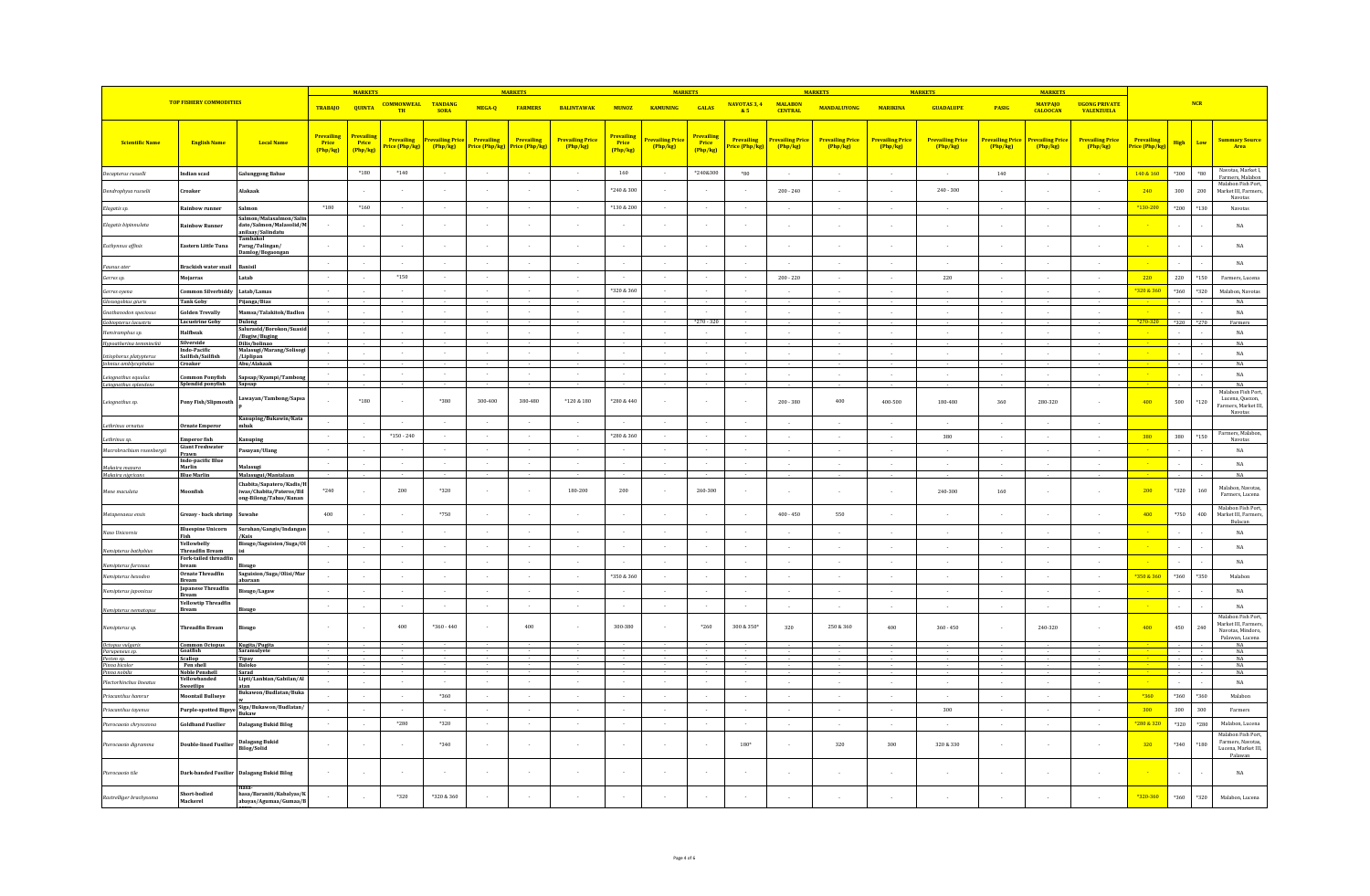|                                                       |                                                          |                                                                            |                                 | <b>MARKETS</b>                         |                                    |                             |                                           | <b>MARKETS</b>               |                                     |                                        | <b>MARKETS</b>                          |                                       |                                          |                                          | <b>MARKETS</b>                      |                                   | <b>MARKETS</b>                      |                                         | <b>MARKET</b>                           |                                           |                              |              |              |                                                                           |
|-------------------------------------------------------|----------------------------------------------------------|----------------------------------------------------------------------------|---------------------------------|----------------------------------------|------------------------------------|-----------------------------|-------------------------------------------|------------------------------|-------------------------------------|----------------------------------------|-----------------------------------------|---------------------------------------|------------------------------------------|------------------------------------------|-------------------------------------|-----------------------------------|-------------------------------------|-----------------------------------------|-----------------------------------------|-------------------------------------------|------------------------------|--------------|--------------|---------------------------------------------------------------------------|
|                                                       | <b>TOP FISHERY COMMODITIES</b>                           |                                                                            | <b>TRABAJO</b>                  | <b>QUINTA</b>                          | <b>COMMONWEAL TANDANG</b><br>TH    | <b>SORA</b>                 | MEGA-Q                                    | <b>FARMERS</b>               | <b>BALINTAWAK</b>                   | <b>MUNOZ</b>                           | <b>KAMUNING</b>                         | <b>GALAS</b>                          | NAVOTAS 3, 4 MALABON<br>85               | <b>CENTRAL</b>                           | <b>MANDALUYONG</b>                  | <b>MARIKINA</b>                   | <b>GUADALUPE</b>                    | PASIG                                   | <b>MAYPAJO</b><br><b>CALOOCAN</b>       | <b>UGONG PRIVATE</b><br><b>VALENZUELA</b> |                              |              | <b>NCR</b>   |                                                                           |
| <b>Scientific Name</b>                                | <b>English Name</b>                                      | <b>Local Name</b>                                                          | Prevailing<br>Price<br>[Php/kg] | Prevailins<br><b>Price</b><br>(Php/kg) | <b>Prevailing</b><br>rice (Php/kg) | revailing Price<br>(Php/kg) | Prevailing<br><mark>Price (Php/kg)</mark> | Prevailing<br>Price (Php/kg) | <b>Prevailing Price</b><br>[Php/kg] | <b>Prevailing</b><br>Price<br>(Php/kg) | <mark>Prevailing Price</mark><br>Php/kg | <b>Prevailin</b><br>Price<br>(Php/kg) | Prevailing<br><mark>rice (Php/kg)</mark> | <mark>revailing Price</mark><br>(Php/kg) | <b>Prevailing Price</b><br>(Php/kg) | <b>Prevailing Price</b><br>Php/kg | <b>Prevailing Price</b><br>[Php/kg] | <mark>Prevailing Price</mark><br>Php/kg | <mark>Prevailing Price</mark><br>Php/kg | <b>Prevailing Price</b><br>Php/kg         | Prevailing<br>Price (Php/kg) | High         | Low          | <b>Summary Source</b><br>Area                                             |
| Decapterus russell.                                   | <b>Indian scad</b>                                       | <b>Galunggong Babae</b>                                                    |                                 | $^*180$                                | $*140$                             | $\sim$                      |                                           |                              |                                     | 160                                    | $\sim$                                  | *240&300                              | $^{\ast}80$                              | $\sim$                                   |                                     | $\sim$                            | $\sim$                              | 140                                     | $\sim$                                  | $\sim$                                    | 140 & 160                    | $*300$       | $^{\circ}80$ | Navotas, Market I,<br>Farmers, Malabon                                    |
| Dendrophysa russelii                                  | Croaker                                                  | <b>Makaak</b>                                                              |                                 |                                        |                                    |                             |                                           |                              |                                     | *240 & 300                             |                                         |                                       |                                          | $200 - 240$                              |                                     |                                   | $240 - 300$                         |                                         |                                         |                                           | 240                          | 300          | 200          | Malabon Fish Port,<br>Market III. Farmers                                 |
| Elagatis sp.                                          | <b>Rainbow runner</b>                                    | Salmon                                                                     | $*180$                          | $*160$                                 | $\sim$                             | $\sim$                      |                                           | $\sim$                       | $\sim$                              | *130 & 200                             | $\sim$                                  |                                       | $\sim$                                   | $\sim$                                   |                                     | $\sim$                            | $\sim$                              | $\sim$                                  | $\sim$                                  | $\sim$                                    | *130-200                     | $*200$       | *130         | Navotas<br>Navotas                                                        |
| Elagatis bipinnulata                                  | Rainhow Runner                                           | almon/Malasalmon/Sali<br>dato/Salmon/Malasolid/M<br>anilaay/Salindatu      |                                 |                                        |                                    | $\sim$                      |                                           |                              |                                     |                                        | $\sim$                                  |                                       |                                          |                                          |                                     |                                   |                                     |                                         |                                         |                                           |                              |              |              | $_{\rm NA}$                                                               |
| Euthynnus affinis                                     | Eastern Little Tuna                                      | ambakol<br>Parag/Tulingan/                                                 |                                 |                                        |                                    |                             |                                           |                              |                                     |                                        |                                         |                                       |                                          |                                          |                                     |                                   | $\sim$                              |                                         |                                         |                                           |                              |              |              | $_{\rm NA}$                                                               |
| Faunus ater                                           | Brackish water snail                                     | Damlog/Bogaongan<br>Banisil                                                |                                 |                                        |                                    | $\bullet$                   |                                           |                              |                                     |                                        | $\sim$                                  |                                       |                                          |                                          |                                     |                                   | $\sim$                              |                                         |                                         |                                           |                              |              |              | $_{\rm NA}$                                                               |
| Gerres sp.                                            | Mojarras                                                 | Latab                                                                      | ÷.                              |                                        | $*150$                             | $\sim$                      |                                           |                              |                                     |                                        | ÷.                                      |                                       |                                          | $200 - 220$                              |                                     |                                   | 220                                 |                                         |                                         |                                           | 220                          | 220          | $*150$       | Farmers, Lucena                                                           |
| Gerres oyena                                          | Common Silverbiddy                                       | Latab/Lamas                                                                | $\sim$                          |                                        | $\sim$                             | $\sim$                      |                                           | $\sim$                       | $\sim$                              | *320 & 360                             | $\sim$                                  |                                       | $\sim$                                   |                                          |                                     |                                   | $\sim$                              | ÷.                                      |                                         | in 1919.                                  | *320 & 360                   | $^{\ast}360$ | $^{\ast}320$ | Malabon, Navotas                                                          |
| Glossogobius giuris                                   | <b>Tank Goby</b>                                         | Pijanga/Bias                                                               |                                 |                                        |                                    |                             |                                           |                              |                                     |                                        |                                         |                                       |                                          |                                          |                                     |                                   |                                     |                                         |                                         |                                           |                              |              |              | $_{\rm NA}$                                                               |
| <b>Gnathanodon speciosus</b><br>Gobiopterus lacustris | <b>Golden Trevally</b><br><b>Lacustrine Goby</b>         | Mamsa/Talakitok/Badlor<br><b>Dulong</b>                                    |                                 |                                        |                                    |                             |                                           |                              |                                     |                                        |                                         | $*270 - 320$                          |                                          | $\sim$                                   |                                     |                                   | $\sim$                              |                                         |                                         |                                           | '70-320                      | $*320$       | 270          | NA<br>Farmers                                                             |
| Hemiramphus sp.                                       | Halfbeak                                                 | Salurasid/Borokon/Suasi<br>/Bugiw/Buging                                   |                                 |                                        |                                    | $\sim$                      |                                           | $\sim$                       | $\sim$                              |                                        | $\sim$                                  |                                       |                                          | $\bar{\nu}$                              |                                     |                                   | $\sim$                              |                                         |                                         |                                           |                              |              |              | $_{\rm NA}$                                                               |
| Hypoatherina temminckii                               | Silverside<br><b>Indo-Pacific</b>                        | Dilis/bolinao<br>Malasugi/Marang/Solisogi                                  |                                 |                                        |                                    |                             |                                           |                              |                                     |                                        |                                         |                                       |                                          |                                          |                                     |                                   |                                     |                                         |                                         |                                           |                              |              |              | NA                                                                        |
| Istiophorus platypteru.<br>Johnius amblycephalus      | Sailfish/Sailfish<br>Croaker                             | /Liplipan<br>Abu/Alakaak                                                   |                                 |                                        |                                    | $\sim$                      |                                           | $\sim$                       | $\sim$                              | $\sim$                                 | $\sim$                                  |                                       | $\sim$                                   | $\sim$                                   |                                     | $\sim$                            | $\sim$                              | $\sim$                                  |                                         | $\sim$                                    |                              |              |              | NA<br>NA                                                                  |
|                                                       | <b>Common Ponyfish</b>                                   |                                                                            |                                 |                                        |                                    |                             |                                           |                              |                                     |                                        |                                         |                                       |                                          |                                          |                                     |                                   |                                     |                                         |                                         |                                           |                              |              |              | $_{\rm NA}$                                                               |
| Leiognathus equulus<br>Leiognathus splendens          | Splendid ponyfish                                        | Sapsap/Kyampi/Tambong<br>Sapsap                                            |                                 |                                        |                                    |                             |                                           |                              |                                     |                                        |                                         |                                       |                                          |                                          |                                     |                                   |                                     |                                         |                                         |                                           |                              |              |              | NA<br>Malabon Fish Port                                                   |
| Leiognathus sp.                                       | <b>Pony Fish/Slipmouth</b>                               | Lawayan/Tambong/Sapsa<br>Kanuping/Bukawin/Kata                             |                                 | $*180$                                 |                                    | $*380$                      | 300-400                                   | 380-480                      | $*120&180$                          | *280 & 440                             |                                         |                                       |                                          | $200 - 380$                              | 400                                 | 400-500                           | 180-480                             | 360                                     | 280-320                                 |                                           | 400                          | 500          | *120         | Lucena, Quezon,<br>Farmers, Market III,<br>Navotas                        |
| Lethrinus ornatu.                                     | Ornate Emperor                                           | mbak                                                                       |                                 |                                        |                                    | - 1                         |                                           |                              |                                     |                                        | ÷.                                      |                                       | $\sim$                                   |                                          |                                     |                                   |                                     |                                         |                                         |                                           |                              |              |              |                                                                           |
| Lethrinus sp.                                         | Emperor fish                                             | Canuping                                                                   | $\sim$                          |                                        | $*150 - 240$                       | $\sim$                      | $\sim$                                    | $\sim$                       | $\sim$                              | *280 & 360                             | $\sim$                                  |                                       | $\sim$                                   | $\sim$                                   | $\sim$                              |                                   | 380                                 |                                         |                                         | ÷.                                        | 380                          | 380          | *150         | Farmers, Malabon,<br>Navotas                                              |
| Macrobrachium rosenberaii                             | <b>Giant Freshwater</b><br>Prawn                         | Pasavan/Ulang                                                              | $\cdot$                         |                                        | $\sim$                             | $\sim$                      | $\sim$                                    | $\sim$                       | $\sim$                              | $\sim$                                 | $\sim$                                  |                                       | $\sim$                                   | $\sim$                                   | $\sim$                              | $\sim$                            | $\sim$                              | $\sim$                                  | $\sim$                                  | $\sim$                                    |                              |              |              | $_{\rm NA}$                                                               |
| Makaira mazara                                        | Indo-pacific Blue<br>Marlin                              | Malasugi                                                                   | $\cdot$                         |                                        |                                    | $\sim$                      |                                           | $\,$ .                       | $\cdot$                             | $\sim$                                 | $\epsilon$                              |                                       | $\sim$                                   | $\sim$                                   |                                     | $\sim$                            | $\sim$                              | $\sim$                                  | $\sim$                                  | $\sim$                                    |                              |              |              | $_{\rm NA}$                                                               |
| Makaira niaricans<br>Mene maculata                    | <b>Blue Marlin</b><br>Moonfish                           | Malasugui/Mantalaan<br>Chabita/Sapatero/Kadis/<br>iwas/Chabita/Pateros/Bil | $^{\ast}240$                    |                                        | $\bf 200$                          | $*320$                      |                                           |                              | $180 - 200$                         | $200\,$                                |                                         | $260 - 300$                           |                                          |                                          |                                     |                                   | 240-300                             | 160                                     |                                         |                                           | 200                          | $*320$       | 160          | NA<br>Malabon, Navotas<br>Farmers, Lucena                                 |
| Metapenaeus ensis                                     | Greasy - back shrimp                                     | ong-Bilong/Tabas/Kunan<br>Suwahe                                           | $400\,$                         |                                        |                                    | $*750$                      |                                           |                              | $\sim$                              |                                        | $\sim$                                  |                                       |                                          | $400 - 450$                              | 550                                 | $\sim$                            | $\sim$                              | $\sim$                                  |                                         |                                           | 400                          | $*750$       | 400          | Malabon Fish Port,<br>Market III, Farmers,                                |
| Naso Unicornis                                        | <b>Bluespine Unicorn</b>                                 | Surahan/Gangis/Indangan                                                    |                                 |                                        |                                    |                             |                                           |                              | $\sim$                              |                                        | $\sim$                                  |                                       |                                          | $\sim$                                   |                                     |                                   | $\sim$                              |                                         |                                         |                                           |                              |              |              | Bulacan<br>NA                                                             |
|                                                       | Fish<br><b>Yellowhelly</b>                               | /Kais<br>Bisugo/Saguision/Suga/Ol                                          | $\sim$                          |                                        | $\sim$                             | $\sim$                      | $\sim$                                    | $\sim$                       | $\sim$                              | $\sim$                                 | $\sim$                                  | $\sim$                                | $\sim$                                   | $\sim$                                   | $\sim$                              | $\sim$                            | $\sim$                              | $\sim$                                  | $\sim$                                  | $\sim$                                    |                              |              |              | NA                                                                        |
| Nemipterus bathybit<br>Nemipterus furcos              | <b>Threadfin Bream</b><br>Fork-tailed threadfin<br>bream | isugo                                                                      | $\sim$                          |                                        | $\sim$                             | $\sim$                      |                                           | $\sim$                       | $\sim$                              | $\sim$                                 | $\sim$                                  |                                       | $\sim$                                   | $\sim$                                   | $\sim$                              | u.                                | $\sim$                              | $\sim$                                  | $\sim$                                  | in 1919.                                  |                              |              |              | NA                                                                        |
| Nemipterus hexodon                                    | <b>Ornate Threadfin</b><br>Bream                         | Saguision/Suga/Olisi/Mar<br>baraan                                         | $\sim$                          |                                        | $\sim$                             | $\sim$                      | $\sim$                                    | $\sim$                       | $\sim$                              | *350 & 360                             | $\sim$                                  |                                       | $\sim$                                   | $\sim$                                   | $\sim$                              | s.                                | $\sim$                              | - 1                                     | ÷.                                      | $\sim$                                    | *350 & 360                   | *360         | *350         | Malabor                                                                   |
| Nemipterus japonicus                                  | Japanese Threadfin<br>Bream                              | Bisugo/Lagaw                                                               | - 11                            |                                        | - 2                                | $\sim 10^{-1}$              |                                           | $\sim$                       | $\sim$                              | $\sim$                                 | <b>Section</b>                          |                                       | $\sim$                                   | $\sim$                                   | $\sim$                              | $\sim$                            | $\sim$                              | $\sim$                                  | $\sim$                                  | $\sim$                                    |                              |              |              | NA                                                                        |
| Nemipterus nematopus                                  | <b>Yellowtip Threadfin</b><br>Bream                      | lisugo                                                                     | $\sim$                          |                                        | $\sim$                             | $\sim$                      |                                           | $\sim$                       | $\sim$                              | $\sim$                                 | $\sim$                                  |                                       | $\sim$                                   | $\sim$                                   |                                     | $\sim$                            | $\sim$                              | $\sim$                                  | $\sim$                                  | $\sim$                                    |                              |              |              | NA<br>Malabon Fish Port,                                                  |
| Nemipterus sp.                                        | <b>Threadfin Bream</b>                                   | <b>Bisugo</b>                                                              |                                 |                                        | 400                                | $*360 - 440$                |                                           | 400                          |                                     | 300-380                                |                                         | $*260$                                | 300 & 350*                               | 320                                      | 250 & 360                           | 400                               | $360 - 450$                         |                                         | 240-320                                 |                                           | 400                          | 450          | 240          | Market III, Farmers,<br>Navotas, Mindoro,<br>Palawan, Lucena              |
| Octopus vulgaris<br>Parupeneus sp.                    | <b>Common Octobus</b><br><b>Goatfish</b>                 | Kugita/Pugita<br>Saramulyete                                               |                                 |                                        |                                    |                             |                                           |                              |                                     |                                        |                                         |                                       |                                          |                                          |                                     |                                   |                                     |                                         |                                         |                                           |                              |              |              | NA<br>NA                                                                  |
| Pecten sp.                                            | Scallop                                                  | Tipay                                                                      |                                 |                                        |                                    |                             |                                           |                              |                                     |                                        |                                         |                                       |                                          |                                          |                                     |                                   |                                     |                                         |                                         |                                           |                              |              |              | NA                                                                        |
| Pinna bicolor<br>Pinna nobilis                        | Pen shell<br><b>Noble Penshell</b>                       | Baloko<br>Sarad                                                            |                                 |                                        |                                    |                             |                                           |                              |                                     |                                        |                                         |                                       |                                          |                                          |                                     |                                   |                                     |                                         |                                         |                                           |                              |              |              | NA<br>NA                                                                  |
| Plectorhinchus lineatus                               | Yellowhander<br>Sweetlips                                | Lipti/Lanbian/Gabilan/Al<br>atan                                           |                                 |                                        |                                    |                             |                                           |                              |                                     |                                        | $\epsilon$                              |                                       |                                          | $\sim$                                   |                                     |                                   | $\sim$                              | $\sim$                                  |                                         |                                           |                              |              |              | $_{\rm NA}$                                                               |
| Priacanthus hamrur                                    | Moontail Bullseye                                        | Bukawon/Budlatan/Buka                                                      |                                 |                                        | $\sim$                             | $*360$                      |                                           | $\sim$                       |                                     | $\sim$                                 | $\sim$                                  |                                       | $\sim$                                   |                                          |                                     |                                   |                                     |                                         |                                         |                                           | $*360$                       | $^{\ast}360$ | $*360$       | Malahon                                                                   |
| Priacanthus tayenus                                   | <b>Purple-spotted Bigeye</b>                             | Siga/Bukawon/Budlatan<br>ukaw                                              |                                 |                                        |                                    | $\sim$                      | $\sim$                                    | $\sim$                       | $\sim$                              | $\sim$                                 | $\sim$                                  |                                       | $\sim$                                   | $\sim$                                   | $\sim$                              | $\sim$                            | 300                                 | $\sim$                                  |                                         | $\sim$                                    | 300                          | 300          | 300          | Farmers                                                                   |
| Pterocaesio chrysozona                                | <b>Goldband Fusilier</b>                                 | <b>Dalagang Bukid Bilog</b>                                                | $\sim$                          |                                        | $*280$                             | $*320$                      |                                           |                              |                                     |                                        | $\sim$                                  |                                       |                                          | $\sim$                                   |                                     | $\sim$                            | $\sim$                              | $\sim$                                  |                                         | $\sim$                                    | *280 & 320                   | $*320$       | *280         | Malabon, Lucena                                                           |
| Pterocaesio digramma                                  | <b>Double-lined Fusilier</b>                             | Dalagang Bukid<br><b>Bilog/Solid</b>                                       |                                 |                                        |                                    | $*340$                      |                                           |                              |                                     |                                        |                                         |                                       | 180*                                     |                                          | 320                                 | 300                               | 320 & 330                           |                                         |                                         |                                           | 320                          | $^{\ast}340$ | $^{\ast}180$ | Malabon Fish Port,<br>Farmers, Navotas,<br>Lucena, Market III.<br>Palawan |
| Pterocaesio tile                                      |                                                          | Dark-banded Fusilier Dalagang Bukid Bilog                                  |                                 |                                        |                                    |                             |                                           |                              |                                     |                                        |                                         |                                       |                                          |                                          |                                     |                                   |                                     |                                         |                                         |                                           |                              |              |              | NA                                                                        |
| Rastrelliger brachysoma                               | Short-bodied<br>Mackerel                                 | hasa/Baraniti/Kabalyas/K<br>abayas/Agumaa/Gumaa/B                          |                                 |                                        | $*320$                             | *320 & 360                  |                                           |                              |                                     |                                        |                                         |                                       |                                          |                                          |                                     |                                   |                                     |                                         |                                         |                                           | *320-360                     | $^*360$      | $*320$       | Malabon, Lucena                                                           |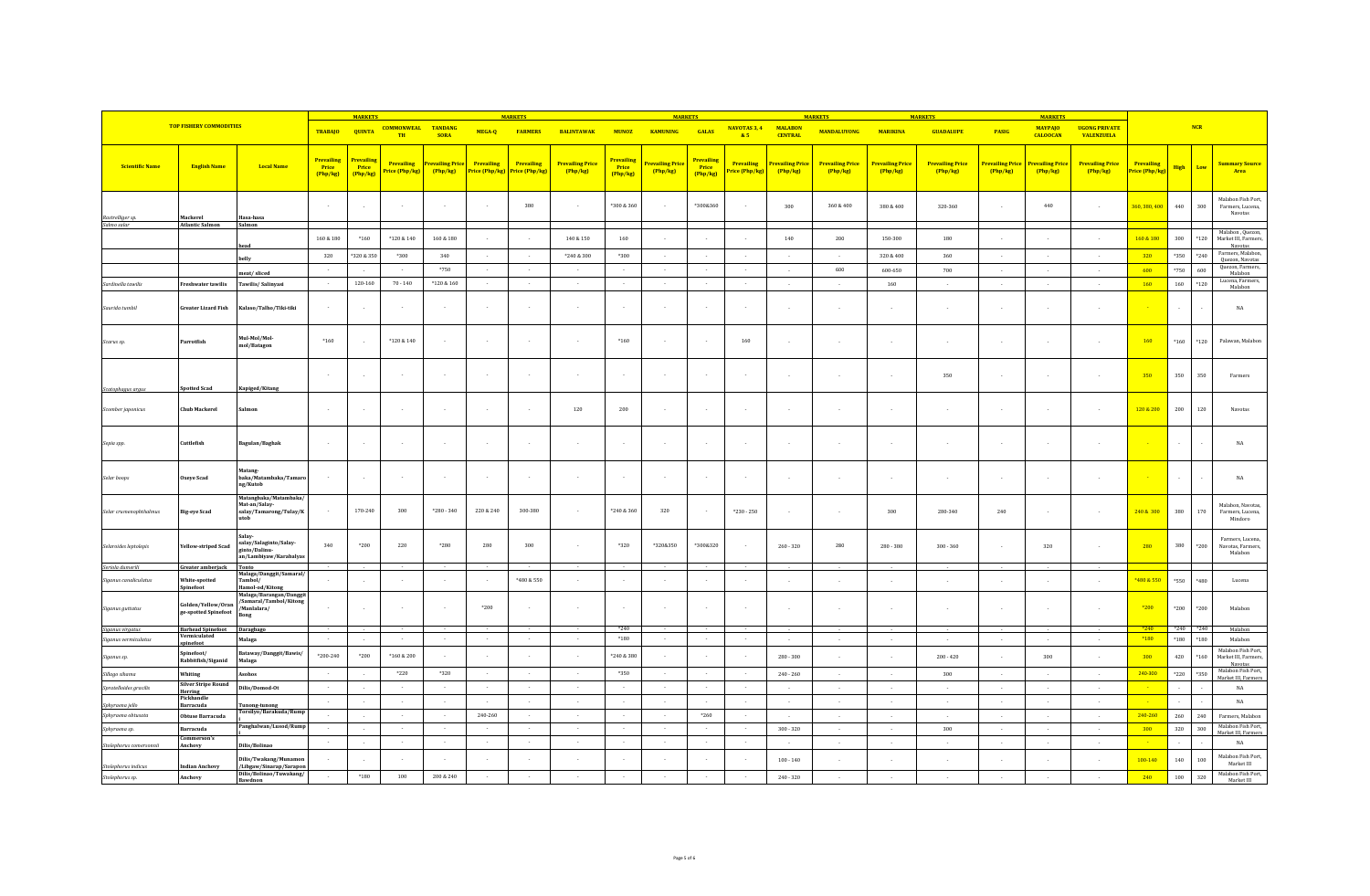|                                        |                                            |                                                                                 |                                      | <b>MARKETS</b>                  |                                     |                                     |                                          | <b>MARKETS</b>                            |                                     |                                        | <b>MARKETS</b>               |                               |                                                 |                                  | <b>MARKET</b>                       |                                   | <b>MARKETS</b>                      |                            | <b>MARKETS</b>                      |                                           |                                           |             |            |                                                       |
|----------------------------------------|--------------------------------------------|---------------------------------------------------------------------------------|--------------------------------------|---------------------------------|-------------------------------------|-------------------------------------|------------------------------------------|-------------------------------------------|-------------------------------------|----------------------------------------|------------------------------|-------------------------------|-------------------------------------------------|----------------------------------|-------------------------------------|-----------------------------------|-------------------------------------|----------------------------|-------------------------------------|-------------------------------------------|-------------------------------------------|-------------|------------|-------------------------------------------------------|
|                                        | <b>TOP FISHERY COMMODITIES</b>             |                                                                                 | <b>TRABAJO</b>                       | <b>QUINTA</b>                   | <b>COMMONWEAL TANDANG</b><br>TH     | <b>SORA</b>                         | MEGA-Q                                   | <b>FARMERS</b>                            | <b>BALINTAWAK</b>                   | <b>MUNOZ</b>                           | <b>KAMUNING</b>              | <b>GALAS</b>                  | NAVOTAS 3, 4<br>&5                              | <b>MALABON</b><br><b>CENTRAL</b> | <b>MANDALUYONG</b>                  | <b>MARIKINA</b>                   | <b>GUADALUPE</b>                    | <b>PASIG</b>               | <b>MAYPAJO</b><br><b>CALOOCAN</b>   | <b>UGONG PRIVATE</b><br><b>VALENZUELA</b> |                                           |             | <b>NCR</b> |                                                       |
| <b>Scientific Name</b>                 | <b>English Name</b>                        | <b>Local Name</b>                                                               | <b>Prevailing</b><br>Price<br>Php/kg | Prevailing<br>Price<br>(Php/kg) | <b>Prevailing</b><br>Price (Php/kg) | <b>Prevailing Price</b><br>(Php/kg) | Prevailing<br><mark>Price (Php/kg</mark> | Prevailing<br><mark>?rice (Php/kg)</mark> | <b>Prevailing Price</b><br>(Php/kg) | <b>Prevailing</b><br>Price<br>(Php/kg) | Prevailing Price<br>(Php/kg) | Prevailing<br>Price<br>Php/kg | <b>Prevailing</b><br><mark>'rice (Php/kg</mark> | Prevailing Price<br>(Php/kg)     | <b>Prevailing Price</b><br>(Php/kg) | <b>Prevailing Price</b><br>Php/kg | <b>Prevailing Price</b><br>[Php/kg] | Prevailing Price<br>Php/kg | <b>Prevailing Price</b><br>(Php/kg) | <b>Prevailing Price</b><br>Php/kg         | Prevailing<br><mark>?rice (Php/kg)</mark> | <b>High</b> | Low        | <b>Summary Source</b><br>Area                         |
| Rastrelliger sp.                       | Mackerel                                   | Hasa-hasa                                                                       |                                      |                                 |                                     |                                     |                                          | 380                                       |                                     | *300 & 360                             |                              | *300&360                      |                                                 | 300                              | 360 & 400                           | 380 & 400                         | 320-360                             |                            | 440                                 |                                           | 360, 380, 400                             | 440         | 300        | Malabon Fish Port,<br>Farmers, Lucena.<br>Navotas     |
| ialmo salar                            | <b>Atlantic Salmon</b>                     | Salmon                                                                          | $160\text{ }\&\text{ }\,180$         | *160                            | *120 & 140                          | 160 & 180                           |                                          |                                           | $140\text{ }\&\text{ }150$          | 160                                    |                              |                               |                                                 | $140\,$                          | 200                                 | 150-300                           | 180                                 |                            |                                     |                                           | 160 & 180                                 | 300         | $*120$     | Malabon, Quezon,<br>Market III, Farmers,              |
|                                        |                                            | head                                                                            | 320                                  | *320 & 350                      | $*300$                              | 340                                 |                                          |                                           | $*240&300$                          | $*300$                                 | $\sim$                       |                               |                                                 | $\sim$                           |                                     | 320 & 400                         | 360                                 | $\sim$                     | - 11                                | $\sim$                                    | 320                                       | $*350$      | $*240$     | Navotas<br>Farmers, Malabon,                          |
|                                        |                                            | helly                                                                           |                                      |                                 | $\sim$                              | $*750$                              | $\sim$                                   | $\sim$                                    | $\sim$                              | $\sim$                                 | $\sim$                       |                               | $\sim$                                          | $\sim$                           | 600                                 | 600-650                           | 700                                 | $\sim$                     | $\sim$                              | $\sim$                                    | 600                                       | $*750$      | 600        | Quezon, Navotas<br>Quezon, Farmers,                   |
| Sardinella tawilis                     | <b>Freshwater tawilis</b>                  | meat/sliced<br>Tawilis/Salinyasi                                                | $\sim$                               | 120-160                         | $70 - 140$                          | *120 & 160                          | $\sim$                                   | $\sim$                                    | $\sim$                              | $\sim$                                 | $\sim$                       |                               | $\sim$                                          | $\sim 10^{-1}$                   | $\sim$                              | 160                               | $\sim$                              | $\sim$                     | $\sim$                              | $\sim$                                    | 160                                       | 160         | $*120$     | Malabon<br>Lucena, Farmers,                           |
| Saurida tumbil                         | <b>Greater Lizard Fish</b>                 | Kalaso/Talho/Tiki-tiki                                                          |                                      | $\overline{\phantom{a}}$        |                                     | $\sim$                              |                                          |                                           |                                     |                                        |                              |                               |                                                 |                                  |                                     |                                   | $\sim$                              |                            |                                     |                                           |                                           |             |            | Malabon<br>$_{\rm NA}$                                |
|                                        |                                            |                                                                                 |                                      |                                 |                                     |                                     |                                          |                                           |                                     |                                        |                              |                               |                                                 |                                  |                                     |                                   |                                     |                            |                                     |                                           |                                           |             |            |                                                       |
| Scarus sp.                             | Parrotfish                                 | Mul-Mol/Mol-<br>mol/Batagon                                                     | $*160$                               | $\sim$                          | $^*120\ \&\ 140$                    | $\sim$                              |                                          |                                           |                                     | $*160$                                 |                              |                               | 160                                             | $\sim$                           |                                     |                                   | ٠.                                  |                            |                                     |                                           | 160                                       | $*160$      | $*120$     | Palawan, Malabon                                      |
|                                        |                                            |                                                                                 |                                      |                                 |                                     |                                     |                                          |                                           |                                     |                                        |                              |                               |                                                 |                                  |                                     |                                   | 350                                 |                            |                                     |                                           | 350                                       | 350         | 350        | Farmers                                               |
| Scatophagus argus<br>Scomber japonicus | Spotted Scad<br><b>Chub Mackerel</b>       | Kapiged/Kitang<br>Salmor                                                        | $\sim$                               | $\sim$                          |                                     |                                     |                                          |                                           | $120\,$                             | $200\,$                                |                              |                               |                                                 |                                  |                                     |                                   |                                     |                            |                                     |                                           | 120 & 200                                 | 200         | 120        | Navotas                                               |
| Sepia spp.                             | Cuttlefish                                 | Bagulan/Baghak                                                                  |                                      | $\sim$                          |                                     |                                     |                                          |                                           |                                     |                                        |                              |                               |                                                 |                                  |                                     |                                   | $\sim$                              | $\sim$                     |                                     |                                           |                                           |             |            | $_{\rm NA}$                                           |
|                                        |                                            | latang-                                                                         |                                      |                                 |                                     |                                     |                                          |                                           |                                     |                                        |                              |                               |                                                 |                                  |                                     |                                   |                                     |                            |                                     |                                           |                                           |             |            |                                                       |
| Selar boops                            | <b>Oxeye Scad</b>                          | baka/Matambaka/Tamaro<br>ng/Kutob<br>Matangbaka/Matambaka/                      |                                      | $\overline{\phantom{a}}$        |                                     |                                     |                                          |                                           |                                     |                                        |                              |                               |                                                 | $\sim$                           |                                     |                                   | ٠.                                  |                            |                                     |                                           |                                           |             |            | $_{\rm NA}$                                           |
| Selar crumenophthalmus                 | <b>Big-eye Scad</b>                        | Mat-an/Salay-<br>salay/Tamarong/Tulay/K<br>utob                                 |                                      | 170-240                         | 300                                 | $*280 - 340$                        | 220 & 240                                | 300-380                                   |                                     | *240 & 360                             | 320                          |                               | $*230 - 250$                                    | $\sim$                           |                                     | 300                               | 280-340                             | 240                        |                                     |                                           | 240 & 300                                 | 380         | 170        | Malabon, Navotas.<br>Farmers, Lucena.<br>Mindoro      |
| Selaroides leptolepis                  | Yellow-striped Scad                        | Salav<br>salay/Salaginto/Salay-<br>ginto/Dalinu-<br>an/Lambiyaw/Karabalyas      | 340                                  | $*200$                          | 220                                 | $*280$                              | 280                                      | 300                                       |                                     | *320                                   | *320&350                     | *300&320                      | $\sim$                                          | $260 - 320$                      | 280                                 | 280 - 380                         | $300 - 360$                         | $\sim$                     | 320                                 | $\sim$                                    | 280                                       | 380         | *200       | Farmers, Lucena,<br>Navotas, Farmers<br>Malabon       |
| Seriola dumerili                       | Greater amberjack                          | Tonto<br>Malaga/Danggit/Samaral/                                                |                                      |                                 |                                     |                                     |                                          |                                           |                                     |                                        |                              |                               |                                                 |                                  |                                     |                                   |                                     |                            |                                     |                                           |                                           |             |            |                                                       |
| Siganus canaliculatus                  | White-spotted<br>Spinefoot                 | Tambol/<br>Hamol-od/Kitong                                                      |                                      |                                 |                                     |                                     |                                          | *480 & 550                                |                                     |                                        |                              |                               |                                                 |                                  |                                     |                                   |                                     |                            |                                     |                                           | *480 & 550                                | $*550$      | *480       | Lucena                                                |
| Siganus guttatus                       | Golden/Yellow/Oran<br>ge-spotted Spinefoot | Malaga/Barangan/Danggit<br>/Samaral/Tambol/Kitong<br>/Manlalara/<br><b>Bong</b> |                                      | $\sim$                          |                                     | $\sim$                              | *200                                     |                                           |                                     |                                        |                              |                               |                                                 |                                  |                                     |                                   | ٠.                                  |                            |                                     |                                           | $*200$                                    | $*200$      | $*200$     | Malabon                                               |
| Siganus virgatus                       | <b>Barhead Spinefoot</b>                   | Daragbago                                                                       |                                      |                                 |                                     |                                     |                                          |                                           |                                     | $*240$                                 |                              |                               |                                                 |                                  |                                     |                                   |                                     |                            |                                     |                                           | $*240$                                    | $*240$      | $*240$     | Malabon                                               |
| Siganus vermiculatus                   | Vermiculated<br>pinefoot                   | Malaga                                                                          | $\sim$                               | $\sim$                          | $\sim$ $\sim$                       | $\sim 10^{-1}$                      | $\sim$                                   | $\sim$                                    | $\sim$                              | $*180$                                 | $\sim$                       | $\sim$                        | $\sim 10^{-1}$                                  | $\sim$                           | $\sim$                              | $\sim$                            | $\sim$                              | $\sim$                     | $\sim$                              | $\sim$                                    | $*180$                                    | $*180$      | $*180$     | Malabon<br>Malabon Fish Port.                         |
| Siganus sp.                            | Spinefoot/<br>Rabbitfish/Siganid           | Bataway/Danggit/Bawis/<br>Malaga                                                | $*200 - 240$                         | $*200$                          | $*160 & 200$                        | $\sim$                              |                                          |                                           |                                     | *240 & 380                             | $\sim$                       |                               | $\sim$                                          | $280 - 300$                      |                                     |                                   | $200 - 420$                         |                            | 300                                 |                                           | 300                                       | 420         | *160       | Market III, Farmers,<br>Navotas<br>Malabon Fish Port, |
| Sillago sihama                         | Whiting<br><b>Silver Stripe Round</b>      | Asohos                                                                          |                                      |                                 | $*220$                              | $^{\ast}320$                        |                                          | $\sim$                                    |                                     | *350                                   | $\cdot$                      |                               |                                                 | $240 - 260$                      | $\sim$                              | $\sim$                            | 300                                 | $\sim$                     |                                     | $\sim$                                    | 240-300                                   | $*220$      | *350       | Market III, Farmer                                    |
| Spratelloides gracilis                 | Herring<br>Pickhandle                      | Dilis/Domod-Ot                                                                  |                                      |                                 |                                     |                                     |                                          |                                           |                                     |                                        |                              |                               |                                                 |                                  |                                     |                                   | $\sim$                              |                            |                                     |                                           |                                           |             |            | NA                                                    |
| Sphyraena jello<br>Sphyraena obtusata  | Barracuda                                  | <b>Tunong-tunong</b><br>Torsilyo/Barakuda/Rump                                  | $\sim$                               |                                 | $\sim$                              | $\sim$                              | 240-260                                  | - 1                                       | $\sim$                              | $\sim$                                 | $\sim$                       | $*260$                        | $\sim$                                          | $\sim$                           |                                     | $\sim$                            | $\sim$                              | $\sim$                     |                                     | in 1919.                                  | 240-260                                   |             |            | NA                                                    |
| Sphyraena sp.                          | Obtuse Barracuda<br>Barracuda              | Panghalwan/Lusod/Rump                                                           | $\sim$                               | $\sim$                          | $\sim$<br>$\sim$                    | $\sim$<br>$\sim$                    |                                          | - 1<br>$\sim$                             | $\sim$                              | $\sim$<br>$\sim$                       | $\sim$<br>$\sim$             |                               | $\sim$<br>$\sim$                                | $\sim$<br>$300 - 320$            | $\sim$                              | $\sim$                            | $\sim$ $\sim$<br>300                | $\sim$<br>$\sim 10^{-1}$   | $\sim$                              | $\sim$<br>$\sim$                          | 300                                       | 260<br>320  | 240<br>300 | Farmers, Malabon<br>Malabon Fish Port,                |
|                                        | Commerson's                                |                                                                                 | $\sim$                               |                                 | $\sim$                              | $\sim$                              |                                          | $\sim$                                    |                                     | $\sim$                                 | $\sim$                       |                               | $\sim$ $\sim$                                   |                                  |                                     | - 20                              | $\sim$                              | $\sim$                     | - 11                                | $\sim$                                    |                                           |             |            | Market III. Farmer:<br>NA                             |
| Stolephorus comerso                    | Anchovy                                    | Dilis/Bolinao                                                                   |                                      |                                 |                                     |                                     |                                          |                                           |                                     |                                        |                              |                               |                                                 |                                  |                                     |                                   |                                     |                            |                                     |                                           |                                           |             |            | Malabon Fish Port,                                    |
| Stolephorus indicus                    | <b>Indian Anchovy</b>                      | Dilis/Twakang/Muna<br>/Libgaw/Sinarap/Sarapon<br>Dilis/Bolinao/Tuwakang/        |                                      |                                 |                                     |                                     |                                          |                                           |                                     |                                        |                              |                               |                                                 | $100 - 140$                      |                                     |                                   |                                     |                            |                                     |                                           | 100-140                                   | 140         | $100\,$    | Market III<br>Malabon Fish Port,                      |
| Stolephorus sp.                        | Anchovy                                    | Bawdnon                                                                         | $\sim$                               | $*180$                          | 100                                 | 200 & 240                           |                                          | $\sim$                                    |                                     | $\sim$                                 | $\sim$                       |                               | $\sim$                                          | $240 - 320$                      |                                     |                                   |                                     |                            |                                     |                                           | 240                                       | 100         | 320        | Market III                                            |